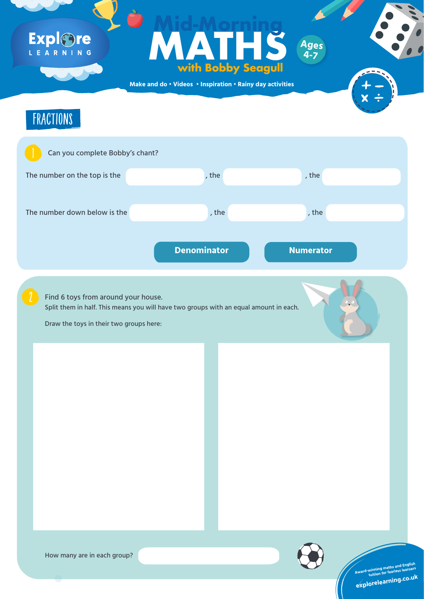**Make and do • Videos • Inspiration • Rainy day activities**

## Expl&re LEARNING

# FORTUNE TELLERS **MATHS with Bobby Seagull Mid-Morning**





**tuition for fearless learners**

**explorelearning.co.u<sup>k</sup>**



Split them in half. This means you will have two groups with an equal amount in each.



Draw the toys in their two groups here:

**Ages**

**4-7**

**Award-winning maths and English<br>Award-winning for fearless learners** 

### How many are in each group?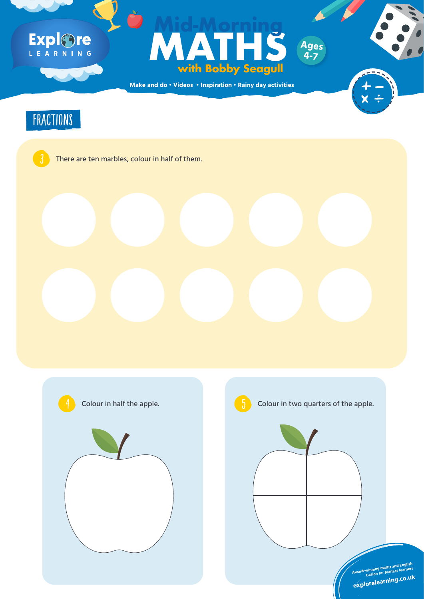**Make and do • Videos • Inspiration • Rainy day activities**

## Expl&re L E A R N I N G

# **Ages**<br> **Ages**<br> **With Bobby Seagull**<br>
And do · Videos · Inspiration · Rainy day activities **with Bobby Seagull Mid-Morning Ages**





## There are ten marbles, colour in half of them.





**4-7**







## Colour in half the apple.  $\begin{pmatrix} 1 & 1 \end{pmatrix}$  Colour in two quarters of the apple.